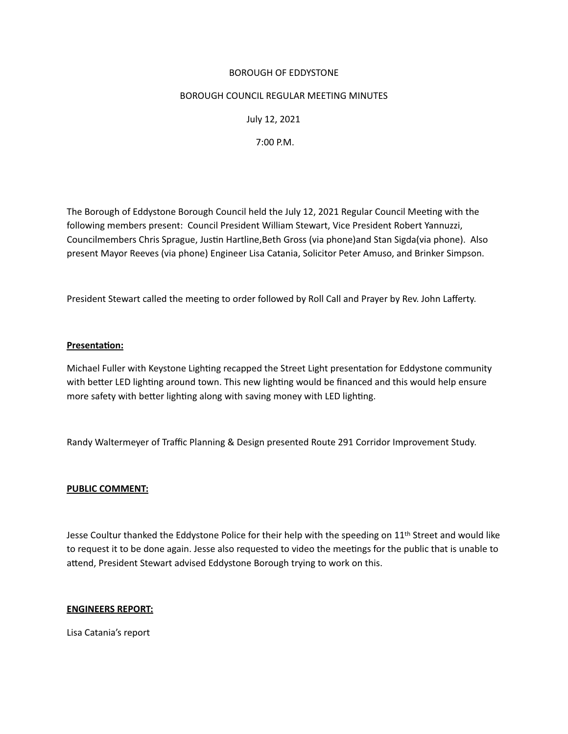#### BOROUGH OF EDDYSTONE

#### BOROUGH COUNCIL REGULAR MEETING MINUTES

# July 12, 2021

 7:00 P.M.

The Borough of Eddystone Borough Council held the July 12, 2021 Regular Council Meetng with the following members present: Council President William Stewart, Vice President Robert Yannuzzi, Councilmembers Chris Sprague, Justin Hartline, Beth Gross (via phone)and Stan Sigda(via phone). Also present Mayor Reeves (via phone) Engineer Lisa Catania, Solicitor Peter Amuso, and Brinker Simpson.

President Stewart called the meeting to order followed by Roll Call and Prayer by Rev. John Lafferty.

## **Presentaton:**

Michael Fuller with Keystone Lighting recapped the Street Light presentation for Eddystone community with better LED lighting around town. This new lighting would be financed and this would help ensure more safety with better lighting along with saving money with LED lighting.

Randy Waltermeyer of Traffic Planning & Design presented Route 291 Corridor Improvement Study.

# **PUBLIC COMMENT:**

Jesse Coultur thanked the Eddystone Police for their help with the speeding on 11<sup>th</sup> Street and would like to request it to be done again. Jesse also requested to video the meetngs for the public that is unable to atend, President Stewart advised Eddystone Borough trying to work on this.

#### **ENGINEERS REPORT:**

Lisa Catania's report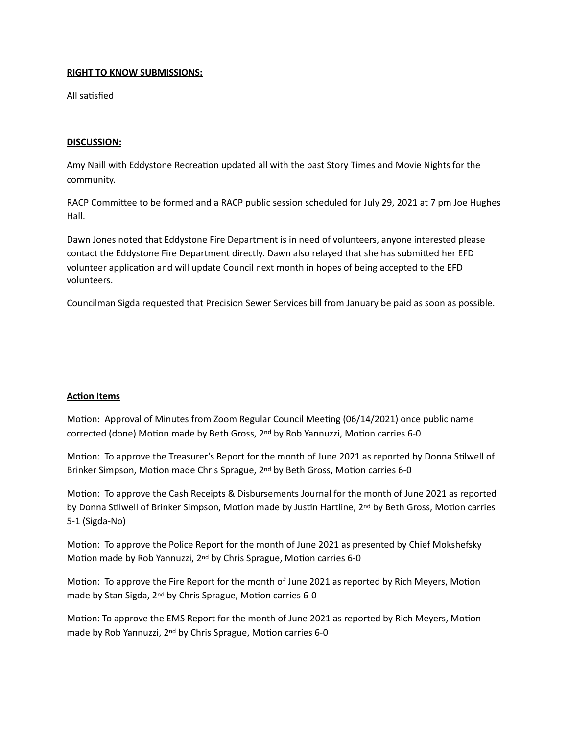## **RIGHT TO KNOW SUBMISSIONS:**

All satsfied

## **DISCUSSION:**

Amy Naill with Eddystone Recreaton updated all with the past Story Times and Movie Nights for the community.

RACP Commitee to be formed and a RACP public session scheduled for July 29, 2021 at 7 pm Joe Hughes Hall.

Dawn Jones noted that Eddystone Fire Department is in need of volunteers, anyone interested please contact the Eddystone Fire Department directly. Dawn also relayed that she has submited her EFD volunteer application and will update Council next month in hopes of being accepted to the EFD volunteers.

Councilman Sigda requested that Precision Sewer Services bill from January be paid as soon as possible.

# **Acton Items**

Motion: Approval of Minutes from Zoom Regular Council Meeting (06/14/2021) once public name corrected (done) Motion made by Beth Gross, 2<sup>nd</sup> by Rob Yannuzzi, Motion carries 6-0

Motion: To approve the Treasurer's Report for the month of June 2021 as reported by Donna Stilwell of Brinker Simpson, Motion made Chris Sprague, 2<sup>nd</sup> by Beth Gross, Motion carries 6-0

Motion: To approve the Cash Receipts & Disbursements Journal for the month of June 2021 as reported by Donna Stilwell of Brinker Simpson, Motion made by Justin Hartline, 2<sup>nd</sup> by Beth Gross, Motion carries 5-1 (Sigda-No)

Motion: To approve the Police Report for the month of June 2021 as presented by Chief Mokshefsky Motion made by Rob Yannuzzi, 2<sup>nd</sup> by Chris Sprague, Motion carries 6-0

Motion: To approve the Fire Report for the month of June 2021 as reported by Rich Meyers, Motion made by Stan Sigda, 2<sup>nd</sup> by Chris Sprague, Motion carries 6-0

Motion: To approve the EMS Report for the month of June 2021 as reported by Rich Meyers, Motion made by Rob Yannuzzi, 2<sup>nd</sup> by Chris Sprague, Motion carries 6-0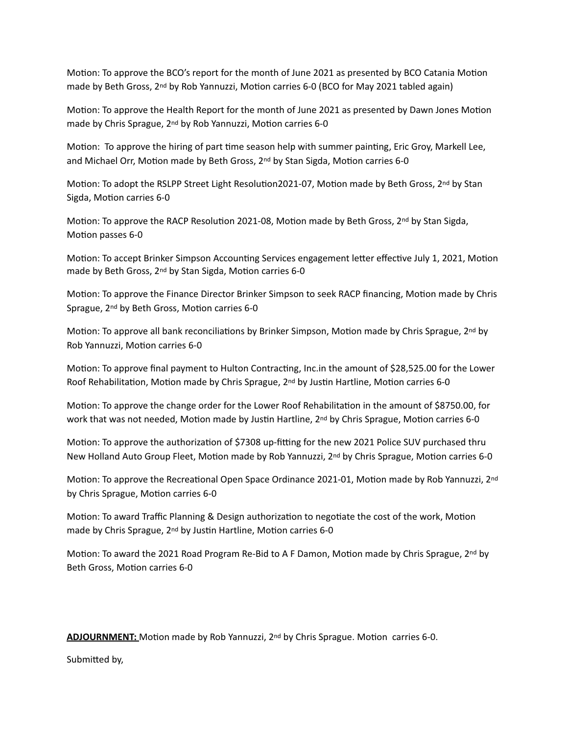Motion: To approve the BCO's report for the month of June 2021 as presented by BCO Catania Motion made by Beth Gross, 2<sup>nd</sup> by Rob Yannuzzi, Motion carries 6-0 (BCO for May 2021 tabled again)

Motion: To approve the Health Report for the month of June 2021 as presented by Dawn Jones Motion made by Chris Sprague, 2<sup>nd</sup> by Rob Yannuzzi, Motion carries 6-0

Motion: To approve the hiring of part time season help with summer painting, Eric Groy, Markell Lee, and Michael Orr, Motion made by Beth Gross, 2<sup>nd</sup> by Stan Sigda, Motion carries 6-0

Motion: To adopt the RSLPP Street Light Resolution2021-07, Motion made by Beth Gross, 2<sup>nd</sup> by Stan Sigda, Motion carries 6-0

Motion: To approve the RACP Resolution 2021-08, Motion made by Beth Gross, 2<sup>nd</sup> by Stan Sigda, Motion passes 6-0

Motion: To accept Brinker Simpson Accounting Services engagement letter effective July 1, 2021, Motion made by Beth Gross, 2<sup>nd</sup> by Stan Sigda, Motion carries 6-0

Motion: To approve the Finance Director Brinker Simpson to seek RACP financing, Motion made by Chris Sprague, 2<sup>nd</sup> by Beth Gross, Motion carries 6-0

Motion: To approve all bank reconciliations by Brinker Simpson, Motion made by Chris Sprague, 2<sup>nd</sup> by Rob Yannuzzi, Motion carries 6-0

Motion: To approve final payment to Hulton Contracting, Inc. in the amount of \$28,525.00 for the Lower Roof Rehabilitation, Motion made by Chris Sprague, 2<sup>nd</sup> by Justin Hartline, Motion carries 6-0

Motion: To approve the change order for the Lower Roof Rehabilitation in the amount of \$8750.00, for work that was not needed, Motion made by Justin Hartline, 2<sup>nd</sup> by Chris Sprague, Motion carries 6-0

Motion: To approve the authorization of \$7308 up-fitting for the new 2021 Police SUV purchased thru New Holland Auto Group Fleet, Motion made by Rob Yannuzzi, 2<sup>nd</sup> by Chris Sprague, Motion carries 6-0

Motion: To approve the Recreational Open Space Ordinance 2021-01, Motion made by Rob Yannuzzi, 2<sup>nd</sup> by Chris Sprague, Motion carries 6-0

Motion: To award Traffic Planning & Design authorization to negotiate the cost of the work, Motion made by Chris Sprague, 2<sup>nd</sup> by Justin Hartline, Motion carries 6-0

Motion: To award the 2021 Road Program Re-Bid to A F Damon, Motion made by Chris Sprague,  $2^{nd}$  by Beth Gross, Motion carries 6-0

# ADJOURNMENT: Motion made by Rob Yannuzzi, 2<sup>nd</sup> by Chris Sprague. Motion carries 6-0.

Submited by,